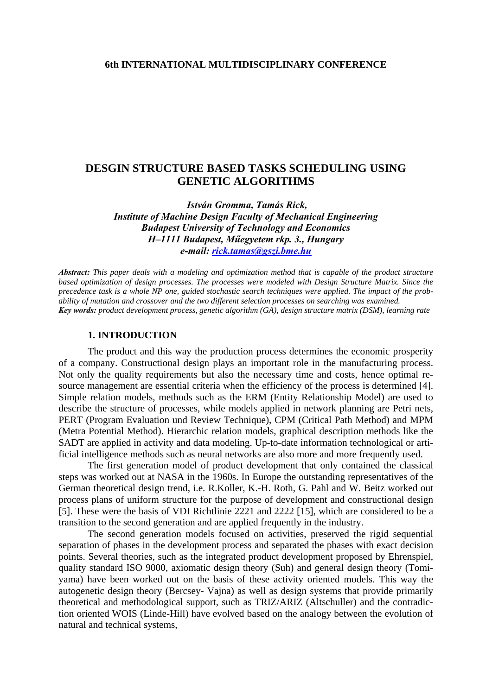#### **6th INTERNATIONAL MULTIDISCIPLINARY CONFERENCE**

# **DESGIN STRUCTURE BASED TASKS SCHEDULING USING GENETIC ALGORITHMS**

 *István Gromma, Tamás Rick, Institute of Machine Design Faculty of Mechanical Engineering Budapest University of Technology and Economics H–1111 Budapest, Műegyetem rkp. 3., Hungary e-mail: [rick.tamas@gszi.bme.hu](mailto:rick.tamas@gszi.bme.hu)*

*Abstract: This paper deals with a modeling and optimization method that is capable of the product structure based optimization of design processes. The processes were modeled with Design Structure Matrix. Since the precedence task is a whole NP one, guided stochastic search techniques were applied. The impact of the probability of mutation and crossover and the two different selection processes on searching was examined. Key words: product development process, genetic algorithm (GA), design structure matrix (DSM), learning rate*

#### **1. INTRODUCTION**

The product and this way the production process determines the economic prosperity of a company. Constructional design plays an important role in the manufacturing process. Not only the quality requirements but also the necessary time and costs, hence optimal resource management are essential criteria when the efficiency of the process is determined [4]. Simple relation models, methods such as the ERM (Entity Relationship Model) are used to describe the structure of processes, while models applied in network planning are Petri nets, PERT (Program Evaluation und Review Technique), CPM (Critical Path Method) and MPM (Metra Potential Method). Hierarchic relation models, graphical description methods like the SADT are applied in activity and data modeling. Up-to-date information technological or artificial intelligence methods such as neural networks are also more and more frequently used.

The first generation model of product development that only contained the classical steps was worked out at NASA in the 1960s. In Europe the outstanding representatives of the German theoretical design trend, i.e. R.Koller, K.-H. Roth, G. Pahl and W. Beitz worked out process plans of uniform structure for the purpose of development and constructional design [5]. These were the basis of VDI Richtlinie 2221 and 2222 [15], which are considered to be a transition to the second generation and are applied frequently in the industry.

The second generation models focused on activities, preserved the rigid sequential separation of phases in the development process and separated the phases with exact decision points. Several theories, such as the integrated product development proposed by Ehrenspiel, quality standard ISO 9000, axiomatic design theory (Suh) and general design theory (Tomiyama) have been worked out on the basis of these activity oriented models. This way the autogenetic design theory (Bercsey- Vajna) as well as design systems that provide primarily theoretical and methodological support, such as TRIZ/ARIZ (Altschuller) and the contradiction oriented WOIS (Linde-Hill) have evolved based on the analogy between the evolution of natural and technical systems,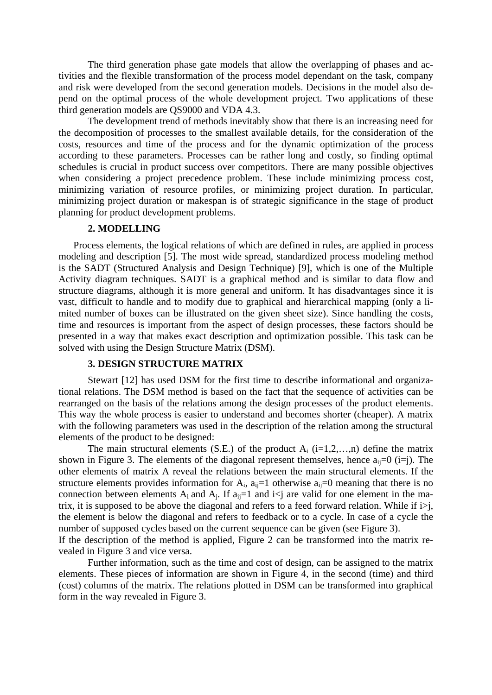The third generation phase gate models that allow the overlapping of phases and activities and the flexible transformation of the process model dependant on the task, company and risk were developed from the second generation models. Decisions in the model also depend on the optimal process of the whole development project. Two applications of these third generation models are QS9000 and VDA 4.3.

The development trend of methods inevitably show that there is an increasing need for the decomposition of processes to the smallest available details, for the consideration of the costs, resources and time of the process and for the dynamic optimization of the process according to these parameters. Processes can be rather long and costly, so finding optimal schedules is crucial in product success over competitors. There are many possible objectives when considering a project precedence problem. These include minimizing process cost, minimizing variation of resource profiles, or minimizing project duration. In particular, minimizing project duration or makespan is of strategic significance in the stage of product planning for product development problems.

#### **2. MODELLING**

Process elements, the logical relations of which are defined in rules, are applied in process modeling and description [5]. The most wide spread, standardized process modeling method is the SADT (Structured Analysis and Design Technique) [9], which is one of the Multiple Activity diagram techniques. SADT is a graphical method and is similar to data flow and structure diagrams, although it is more general and uniform. It has disadvantages since it is vast, difficult to handle and to modify due to graphical and hierarchical mapping (only a limited number of boxes can be illustrated on the given sheet size). Since handling the costs, time and resources is important from the aspect of design processes, these factors should be presented in a way that makes exact description and optimization possible. This task can be solved with using the Design Structure Matrix (DSM).

## **3. DESIGN STRUCTURE MATRIX**

Stewart [12] has used DSM for the first time to describe informational and organizational relations. The DSM method is based on the fact that the sequence of activities can be rearranged on the basis of the relations among the design processes of the product elements. This way the whole process is easier to understand and becomes shorter (cheaper). A matrix with the following parameters was used in the description of the relation among the structural elements of the product to be designed:

The main structural elements (S.E.) of the product  $A_i$  (i=1,2,...,n) define the matrix shown in Figure 3. The elements of the diagonal represent themselves, hence  $a_{ii}=0$  (i=j). The other elements of matrix A reveal the relations between the main structural elements. If the structure elements provides information for  $A_i$ ,  $a_{ii}=1$  otherwise  $a_{ii}=0$  meaning that there is no connection between elements  $A_i$  and  $A_j$ . If  $a_{ij}=1$  and  $i < j$  are valid for one element in the matrix, it is supposed to be above the diagonal and refers to a feed forward relation. While if  $i > j$ , the element is below the diagonal and refers to feedback or to a cycle. In case of a cycle the number of supposed cycles based on the current sequence can be given (see Figure 3).

If the description of the method is applied, Figure 2 can be transformed into the matrix revealed in Figure 3 and vice versa.

Further information, such as the time and cost of design, can be assigned to the matrix elements. These pieces of information are shown in Figure 4, in the second (time) and third (cost) columns of the matrix. The relations plotted in DSM can be transformed into graphical form in the way revealed in Figure 3.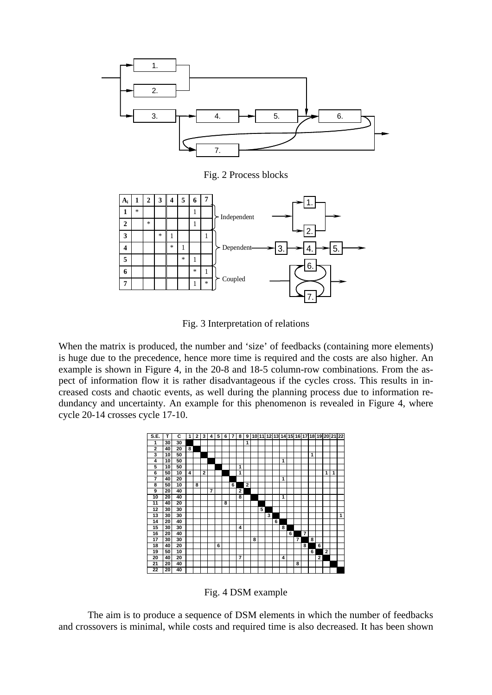

Fig. 2 Process blocks



Fig. 3 Interpretation of relations

When the matrix is produced, the number and 'size' of feedbacks (containing more elements) is huge due to the precedence, hence more time is required and the costs are also higher. An example is shown in Figure 4, in the 20-8 and 18-5 column-row combinations. From the aspect of information flow it is rather disadvantageous if the cycles cross. This results in increased costs and chaotic events, as well during the planning process due to information redundancy and uncertainty. An example for this phenomenon is revealed in Figure 4, where cycle 20-14 crosses cycle 17-10.



Fig. 4 DSM example

The aim is to produce a sequence of DSM elements in which the number of feedbacks and crossovers is minimal, while costs and required time is also decreased. It has been shown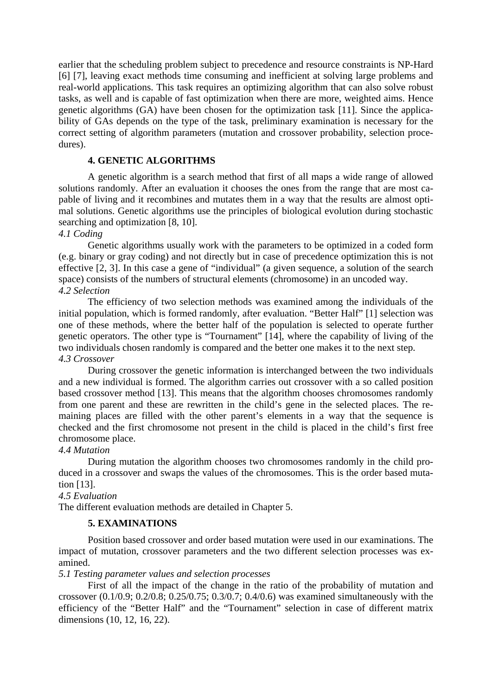earlier that the scheduling problem subject to precedence and resource constraints is NP-Hard [6] [7], leaving exact methods time consuming and inefficient at solving large problems and real-world applications. This task requires an optimizing algorithm that can also solve robust tasks, as well and is capable of fast optimization when there are more, weighted aims. Hence genetic algorithms (GA) have been chosen for the optimization task [11]. Since the applicability of GAs depends on the type of the task, preliminary examination is necessary for the correct setting of algorithm parameters (mutation and crossover probability, selection procedures).

## **4. GENETIC ALGORITHMS**

A genetic algorithm is a search method that first of all maps a wide range of allowed solutions randomly. After an evaluation it chooses the ones from the range that are most capable of living and it recombines and mutates them in a way that the results are almost optimal solutions. Genetic algorithms use the principles of biological evolution during stochastic searching and optimization [8, 10].

## *4.1 Coding*

Genetic algorithms usually work with the parameters to be optimized in a coded form (e.g. binary or gray coding) and not directly but in case of precedence optimization this is not effective [2, 3]. In this case a gene of "individual" (a given sequence, a solution of the search space) consists of the numbers of structural elements (chromosome) in an uncoded way. *4.2 Selection* 

The efficiency of two selection methods was examined among the individuals of the initial population, which is formed randomly, after evaluation. "Better Half" [1] selection was one of these methods, where the better half of the population is selected to operate further genetic operators. The other type is "Tournament" [14], where the capability of living of the two individuals chosen randomly is compared and the better one makes it to the next step. *4.3 Crossover* 

During crossover the genetic information is interchanged between the two individuals and a new individual is formed. The algorithm carries out crossover with a so called position based crossover method [13]. This means that the algorithm chooses chromosomes randomly from one parent and these are rewritten in the child's gene in the selected places. The remaining places are filled with the other parent's elements in a way that the sequence is checked and the first chromosome not present in the child is placed in the child's first free chromosome place.

## *4.4 Mutation*

During mutation the algorithm chooses two chromosomes randomly in the child produced in a crossover and swaps the values of the chromosomes. This is the order based mutation [13].

#### *4.5 Evaluation*

The different evaluation methods are detailed in Chapter 5.

## **5. EXAMINATIONS**

Position based crossover and order based mutation were used in our examinations. The impact of mutation, crossover parameters and the two different selection processes was examined.

#### *5.1 Testing parameter values and selection processes*

First of all the impact of the change in the ratio of the probability of mutation and crossover (0.1/0.9; 0.2/0.8; 0.25/0.75; 0.3/0.7; 0.4/0.6) was examined simultaneously with the efficiency of the "Better Half" and the "Tournament" selection in case of different matrix dimensions (10, 12, 16, 22).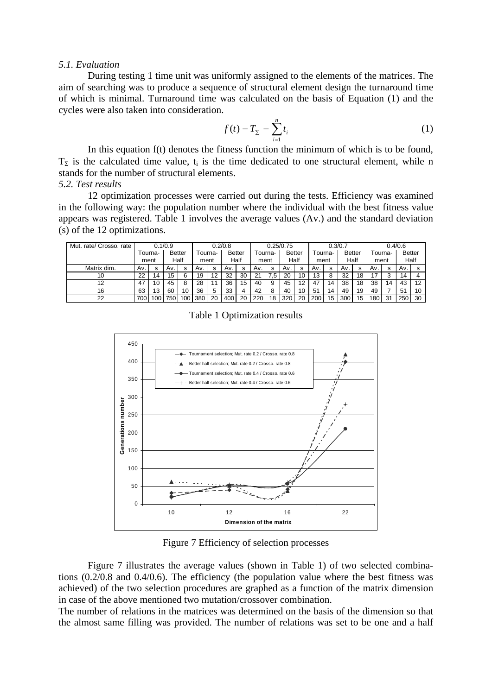#### *5.1. Evaluation*

During testing 1 time unit was uniformly assigned to the elements of the matrices. The aim of searching was to produce a sequence of structural element design the turnaround time of which is minimal. Turnaround time was calculated on the basis of Equation (1) and the cycles were also taken into consideration.

$$
f(t) = T_{\Sigma} = \sum_{i=1}^{n} t_i
$$
 (1)

In this equation f(t) denotes the fitness function the minimum of which is to be found,  $T_{\Sigma}$  is the calculated time value, t<sub>i</sub> is the time dedicated to one structural element, while n stands for the number of structural elements.

## *5.2. Test results*

12 optimization processes were carried out during the tests. Efficiency was examined in the following way: the population number where the individual with the best fitness value appears was registered. Table 1 involves the average values (Av.) and the standard deviation (s) of the 12 optimizations.

| Mut. rate/ Crosso. rate | 0.1/0.9 |     |               |     | 0.2/0.8 |    |               |    | 0.25/0.75 |    |        |    | 0.3/0.7 |    |               |    | 0.4/0.6 |    |               |    |
|-------------------------|---------|-----|---------------|-----|---------|----|---------------|----|-----------|----|--------|----|---------|----|---------------|----|---------|----|---------------|----|
|                         | ⊺ourna- |     | <b>Better</b> |     | ourna-  |    | <b>Better</b> |    | ⊺ourna-   |    | Better |    | ⊺ourna- |    | <b>Better</b> |    | Tourna- |    | <b>Better</b> |    |
|                         | ment    |     | Half          |     | ment    |    | Half          |    | ment      |    | Half   |    | ment    |    | Half          |    | ment    |    | Half          |    |
| Matrix dim.             | Av.     | s   | Av.           | s   | Av.     | s  | Av.           | s  | Av.       | s  | Av.    | s  | Av.     | s  | Av.           | s  | Av.     | s  | A۷.           |    |
| 10                      | 22      | 14  | 15            |     | 19      | 12 | 32            | 30 | 21        | .5 | 20     |    | 13      | 8  | 32            | 18 | 17      |    | 14            |    |
| 12                      | 47      | 10  | 45            |     | 28      |    | 36            | 15 | 40        | 9  | 45     | 12 | 47      | 14 | 38            | 18 | 38      | 14 | 43            | 12 |
| 16                      | 63      | 13  | 60            | 10  | 36      | 5  | 33            |    | 42        |    | 40     |    | 51      | 14 | 49            | 19 | 49      |    | 51            | 10 |
| 22                      | 700     | 100 | 750           | 100 | 380     | 20 | 400           | 20 | 220       | 18 | 320    | 20 | 200     | 15 | 300           | 15 | 180     | 31 | 250           | 30 |

Table 1 Optimization results



Figure 7 Efficiency of selection processes

Figure 7 illustrates the average values (shown in Table 1) of two selected combinations (0.2/0.8 and 0.4/0.6). The efficiency (the population value where the best fitness was achieved) of the two selection procedures are graphed as a function of the matrix dimension in case of the above mentioned two mutation/crossover combination.

The number of relations in the matrices was determined on the basis of the dimension so that the almost same filling was provided. The number of relations was set to be one and a half